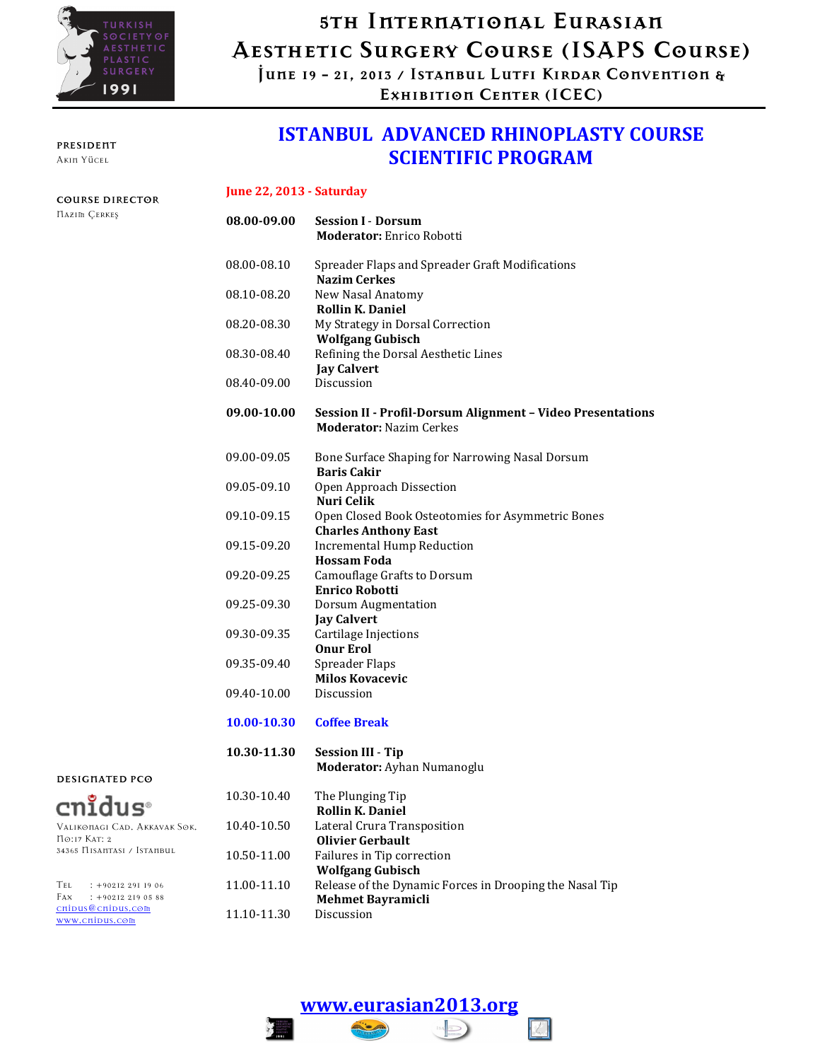

PRESIDENT Akın Yücel

COURSE DIRECTOR Nazım Çerkeş

## 5th Internatıonal Eurasıan Aesthetıc Surgery Course (ISAPS Course)

June 19 - 21, 2013 / Istanbul Lutfı Kırdar Conventıon & Exhıbıtıon Center (ICEC)

### ISTANBUL ADVANCED RHINOPLASTY COURSE SCIENTIFIC PROGRAM

#### June 22, 2013 - Saturday

| 08.00-09.00 | <b>Session I - Dorsum</b><br><b>Moderator: Enrico Robotti</b>                                |
|-------------|----------------------------------------------------------------------------------------------|
| 08.00-08.10 | Spreader Flaps and Spreader Graft Modifications<br><b>Nazim Cerkes</b>                       |
| 08.10-08.20 | New Nasal Anatomy<br><b>Rollin K. Daniel</b>                                                 |
| 08.20-08.30 | My Strategy in Dorsal Correction<br><b>Wolfgang Gubisch</b>                                  |
| 08.30-08.40 | Refining the Dorsal Aesthetic Lines<br><b>Jay Calvert</b>                                    |
| 08.40-09.00 | Discussion                                                                                   |
| 09.00-10.00 | Session II - Profil-Dorsum Alignment - Video Presentations<br><b>Moderator: Nazim Cerkes</b> |
| 09.00-09.05 | Bone Surface Shaping for Narrowing Nasal Dorsum<br><b>Baris Cakir</b>                        |
| 09.05-09.10 | Open Approach Dissection<br>Nuri Celik                                                       |
| 09.10-09.15 | Open Closed Book Osteotomies for Asymmetric Bones<br><b>Charles Anthony East</b>             |
| 09.15-09.20 | <b>Incremental Hump Reduction</b><br><b>Hossam Foda</b>                                      |
| 09.20-09.25 | Camouflage Grafts to Dorsum<br><b>Enrico Robotti</b>                                         |
| 09.25-09.30 | <b>Dorsum Augmentation</b><br><b>Jay Calvert</b>                                             |
| 09.30-09.35 | Cartilage Injections<br><b>Onur Erol</b>                                                     |
| 09.35-09.40 | Spreader Flaps<br><b>Milos Kovacevic</b>                                                     |
| 09.40-10.00 | Discussion                                                                                   |
| 10.00-10.30 | <b>Coffee Break</b>                                                                          |
| 10.30-11.30 | <b>Session III - Tip</b><br>Moderator: Ayhan Numanoglu                                       |
| 10.30-10.40 | The Plunging Tip<br><b>Rollin K. Daniel</b>                                                  |
| 10.40-10.50 | Lateral Crura Transposition<br><b>Olivier Gerbault</b>                                       |
| 10.50-11.00 | Failures in Tip correction<br><b>Wolfgang Gubisch</b>                                        |

- Tel : +90212 291 19 06 Fax : +90212 219 05 88 cnidus@cnidus.com 11.00-11.10 Release of the Dynamic Forces in Drooping the Nasal Tip Mehmet Bayramicli  $11.10 - 11.30$
- www.cnidus.com

No:17 Kat: 2

DESIGNATED PCO

 $cn\mathbf{r}$ dus $^{\circ}$ 

Valıkonagı Cad. Akkavak Sok.

34365 Nısantası / Istanbul

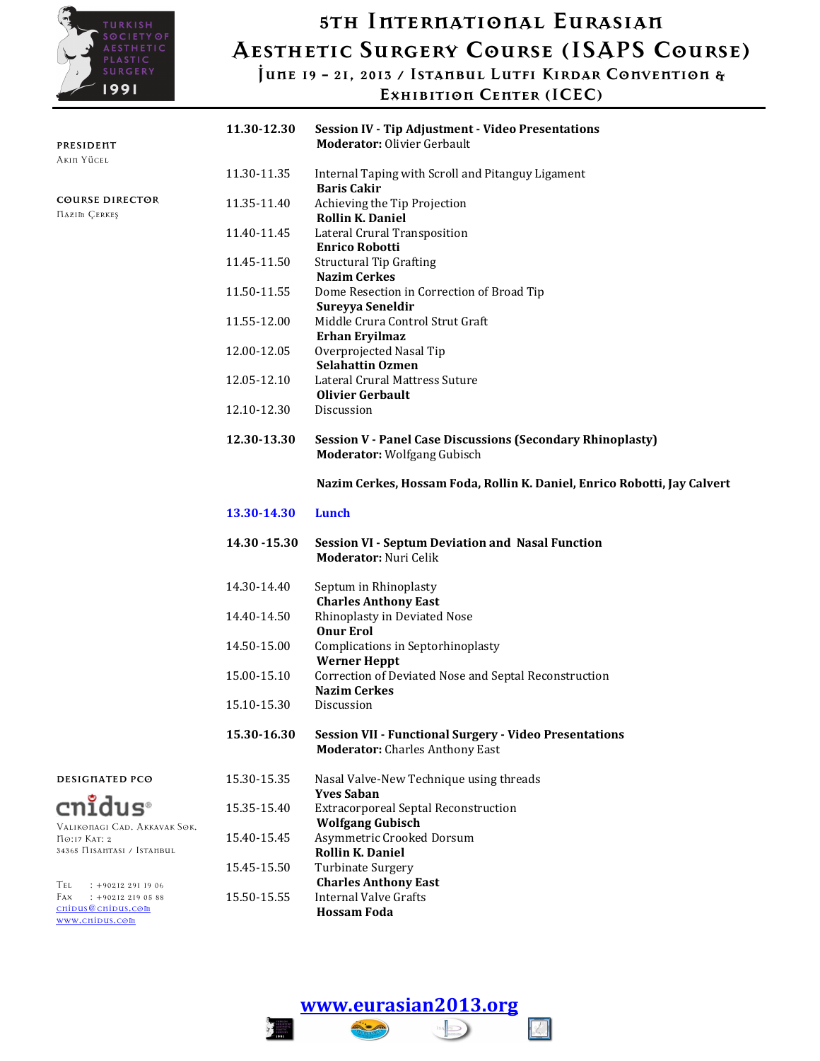

## 5th Internatıonal Eurasıan Aesthetıc Surgery Course (ISAPS Course)

June 19 - 21, 2013 / Istanbul Lutfı Kırdar Conventıon &

Exhıbıtıon Center (ICEC)

| PRESIDENT                                                                                   | 11.30-12.30   | <b>Session IV - Tip Adjustment - Video Presentations</b><br><b>Moderator: Olivier Gerbault</b>          |
|---------------------------------------------------------------------------------------------|---------------|---------------------------------------------------------------------------------------------------------|
| Akin Yücel                                                                                  | 11.30-11.35   | Internal Taping with Scroll and Pitanguy Ligament                                                       |
| <b>COURSE DIRECTOR</b><br><b>HAZIM CERKES</b>                                               | 11.35-11.40   | <b>Baris Cakir</b><br>Achieving the Tip Projection<br><b>Rollin K. Daniel</b>                           |
|                                                                                             | 11.40-11.45   | Lateral Crural Transposition<br><b>Enrico Robotti</b>                                                   |
|                                                                                             | 11.45-11.50   | <b>Structural Tip Grafting</b><br><b>Nazim Cerkes</b>                                                   |
|                                                                                             | 11.50-11.55   | Dome Resection in Correction of Broad Tip<br>Sureyya Seneldir                                           |
|                                                                                             | 11.55-12.00   | Middle Crura Control Strut Graft<br>Erhan Eryilmaz                                                      |
|                                                                                             | 12.00-12.05   | Overprojected Nasal Tip<br><b>Selahattin Ozmen</b>                                                      |
|                                                                                             | 12.05-12.10   | Lateral Crural Mattress Suture<br><b>Olivier Gerbault</b>                                               |
|                                                                                             | 12.10-12.30   | Discussion                                                                                              |
|                                                                                             | 12.30-13.30   | <b>Session V - Panel Case Discussions (Secondary Rhinoplasty)</b><br><b>Moderator: Wolfgang Gubisch</b> |
|                                                                                             |               | Nazim Cerkes, Hossam Foda, Rollin K. Daniel, Enrico Robotti, Jay Calvert                                |
|                                                                                             | 13.30-14.30   | Lunch                                                                                                   |
|                                                                                             | 14.30 - 15.30 | <b>Session VI - Septum Deviation and Nasal Function</b><br><b>Moderator: Nuri Celik</b>                 |
|                                                                                             | 14.30-14.40   | Septum in Rhinoplasty<br><b>Charles Anthony East</b>                                                    |
|                                                                                             | 14.40-14.50   | Rhinoplasty in Deviated Nose<br><b>Onur Erol</b>                                                        |
|                                                                                             | 14.50-15.00   | Complications in Septorhinoplasty<br><b>Werner Heppt</b>                                                |
|                                                                                             | 15.00-15.10   | Correction of Deviated Nose and Septal Reconstruction<br><b>Nazim Cerkes</b>                            |
|                                                                                             | 15.10-15.30   | Discussion                                                                                              |
|                                                                                             | 15.30-16.30   | <b>Session VII - Functional Surgery - Video Presentations</b><br><b>Moderator:</b> Charles Anthony East |
| DESIGNATED PCO                                                                              | 15.30-15.35   | Nasal Valve-New Technique using threads<br><b>Yves Saban</b>                                            |
| cnidus®                                                                                     | 15.35-15.40   | <b>Extracorporeal Septal Reconstruction</b><br><b>Wolfgang Gubisch</b>                                  |
| VALIKONAGI CAD. AKKAVAK SOK.<br>ПО:17 КАТ: 2<br>34365 HISANTASI / ISTANBUL                  | 15.40-15.45   | Asymmetric Crooked Dorsum<br><b>Rollin K. Daniel</b>                                                    |
|                                                                                             | 15.45-15.50   | Turbinate Surgery                                                                                       |
| Tel<br>$: +902122911906$<br>Fax<br>$: +902122190588$<br>cnipus@cnipus.com<br>www.cnipus.com | 15.50-15.55   | <b>Charles Anthony East</b><br><b>Internal Valve Grafts</b><br><b>Hossam Foda</b>                       |